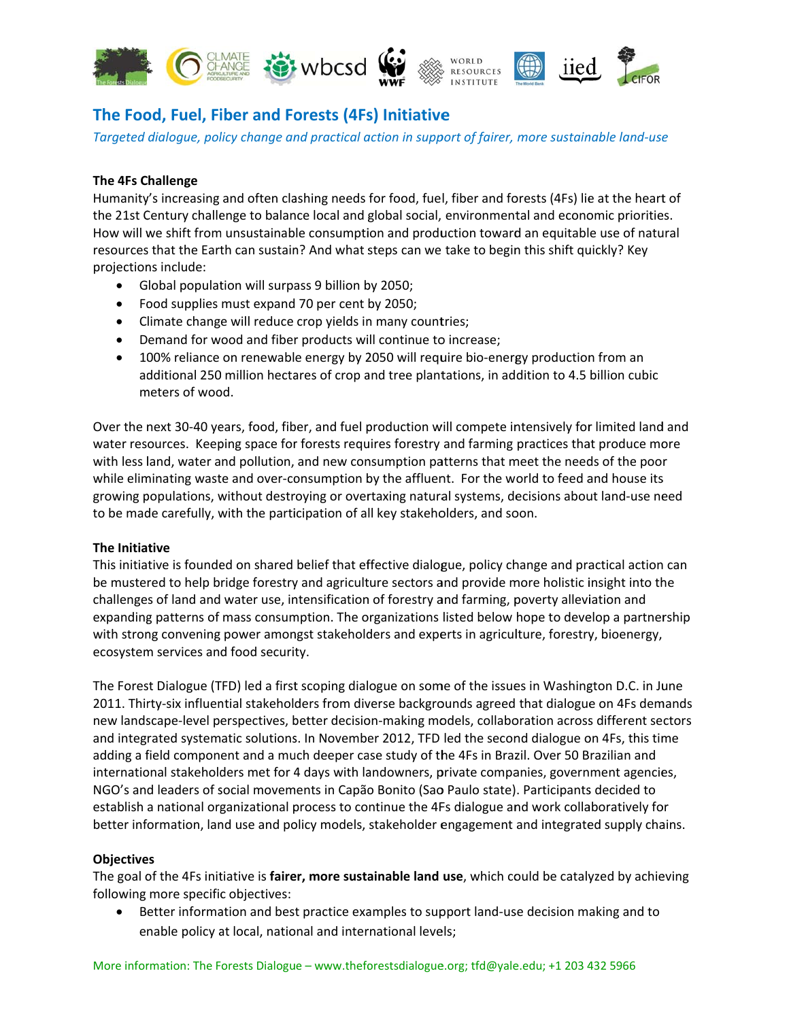

# The Food, Fuel, Fiber and Forests (4Fs) Initiative

Targeted dialogue, policy change and practical action in support of fairer, more sustainable land-use

## **The 4Fs Challenge**

Humanity's increasing and often clashing needs for food, fuel, fiber and forests (4Fs) lie at the heart of the 21st Century challenge to balance local and global social, environmental and economic priorities. How will we shift from unsustainable consumption and production toward an equitable use of natural resources that the Earth can sustain? And what steps can we take to begin this shift quickly? Key projections include:

- Global population will surpass 9 billion by 2050;
- Food supplies must expand 70 per cent by 2050;
- Climate change will reduce crop yields in many countries;
- Demand for wood and fiber products will continue to increase;
- 100% reliance on renewable energy by 2050 will require bio-energy production from an additional 250 million hectares of crop and tree plantations, in addition to 4.5 billion cubic meters of wood.

Over the next 30-40 years, food, fiber, and fuel production will compete intensively for limited land and water resources. Keeping space for forests requires forestry and farming practices that produce more with less land, water and pollution, and new consumption patterns that meet the needs of the poor while eliminating waste and over-consumption by the affluent. For the world to feed and house its growing populations, without destroying or overtaxing natural systems, decisions about land-use need to be made carefully, with the participation of all key stakeholders, and soon.

## The Initiative

This initiative is founded on shared belief that effective dialogue, policy change and practical action can be mustered to help bridge forestry and agriculture sectors and provide more holistic insight into the challenges of land and water use, intensification of forestry and farming, poverty alleviation and expanding patterns of mass consumption. The organizations listed below hope to develop a partnership with strong convening power amongst stakeholders and experts in agriculture, forestry, bioenergy, ecosystem services and food security.

The Forest Dialogue (TFD) led a first scoping dialogue on some of the issues in Washington D.C. in June 2011. Thirty-six influential stakeholders from diverse backgrounds agreed that dialogue on 4Fs demands new landscape-level perspectives, better decision-making models, collaboration across different sectors and integrated systematic solutions. In November 2012, TFD led the second dialogue on 4Fs, this time adding a field component and a much deeper case study of the 4Fs in Brazil. Over 50 Brazilian and international stakeholders met for 4 days with landowners, private companies, government agencies, NGO's and leaders of social movements in Capão Bonito (Sao Paulo state). Participants decided to establish a national organizational process to continue the 4Fs dialogue and work collaboratively for better information, land use and policy models, stakeholder engagement and integrated supply chains.

#### **Objectives**

The goal of the 4Fs initiative is fairer, more sustainable land use, which could be catalyzed by achieving following more specific objectives:

Better information and best practice examples to support land-use decision making and to enable policy at local, national and international levels;